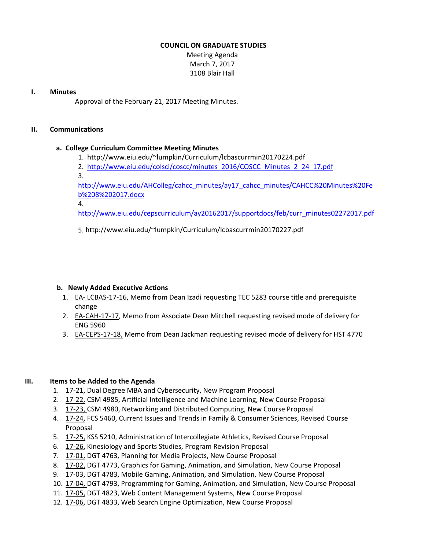### **COUNCIL ON GRADUATE STUDIES**

Meeting Agenda March 7, 2017 3108 Blair Hall

### **I. Minutes**

Approval of the [February](http://castle.eiu.edu/eiucgs/currentminutes/Minutes2-21-17.pdf) 21, 2017 Meeting Minutes.

## **II. Communications**

# **a. College Curriculum Committee Meeting Minutes**

- 1. [http://www.eiu.edu/~lumpkin/Curriculum/lcbascurrmin20170224.pdf](http://www.eiu.edu/lumpkin/Curriculum/lcbascurrmin20170210.pdf)
- 2. [http://www.eiu.edu/colsci/coscc/minutes\\_2016/COSCC\\_Minutes\\_2\\_24\\_17.pdf](http://www.eiu.edu/colsci/coscc/minutes_2016/COSCC_Minutes_2_24_17.pdf)
- 3.

[http://www.eiu.edu/AHColleg/cahcc](http://www.eiu.edu/AHColleg/docs/CAHCCMinutesFeb82017.docx)\_minutes/ay17\_cahcc\_minutes/CAHCC%20Minutes%20Fe b%208%202017.docx

4.

[http://www.eiu.edu/cepscurriculum/ay20162017/supportdocs/feb/curr\\_minutes02272017.pd](http://www.eiu.edu/cepscurriculum/ay20162017/supportdocs/feb/curr_minutes02202017.pdf)f

5. [http://www.eiu.edu/~lumpkin/Curriculum/lcbascurrmin20170227.pdf](http://www.eiu.edu/cepscurriculum/ay20162017/supportdocs/feb/curr_minutes02272017.pdf)

# **b. Newly Added Executive Actions**

- 1. EA‐ [LCBAS](http://castle.eiu.edu/eiucgs/exec-actions/EA-LCBAS-17-16.pdf)‐17‐16, Memo from Dean Izadi requesting TEC 5283 course title and prerequisite change
- 2. EA-[CAH](http://castle.eiu.edu/eiucgs/exec-actions/EA-CAH-17-17.pdf)-17-17, Memo from Associate Dean Mitchell requesting revised mode of delivery for ENG 5960
- 3. EA-[CEPS](http://castle.eiu.edu/eiucgs/exec-actions/EA-CEPS-17-18.pdf)-17-18, Memo from Dean Jackman requesting revised mode of delivery for HST 4770

# **III. Items to be Added to the Agenda**

- 1. [17](http://castle.eiu.edu/eiucgs/currentagendaitems/agenda17-21.pdf)‐21, Dual Degree MBA and Cybersecurity, New Program Proposal
- 2. 17‐[22,](http://castle.eiu.edu/eiucgs/currentagendaitems/agenda17-22.pdf) CSM 4985, Artificial Intelligence and Machine Learning, New Course Proposal
- 3. [17](http://castle.eiu.edu/eiucgs/currentagendaitems/agenda17-23.pdf)-23, CSM 4980, Networking and Distributed Computing, New Course Proposal
- 4. [17](http://castle.eiu.edu/eiucgs/currentagendaitems/agenda17-24.pdf)-24, FCS 5460, Current Issues and Trends in Family & Consumer Sciences, Revised Course Proposal
- 5. [17](http://castle.eiu.edu/eiucgs/currentagendaitems/agenda17-25.pdf)-25, KSS 5210, Administration of Intercollegiate Athletics, Revised Course Proposal
- 6. [17](http://castle.eiu.edu/eiucgs/currentagendaitems/agenda17-26.pdf)-26, Kinesiology and Sports Studies, Program Revision Proposal
- 7. 17‐[01,](http://castle.eiu.edu/eiucgs/currentagendaitems/agenda17-01.pdf) DGT 4763, Planning for Media Projects, New Course Proposal
- 8. [17](http://castle.eiu.edu/eiucgs/currentagendaitems/agenda17-02.pdf)-02, DGT 4773, Graphics for Gaming, Animation, and Simulation, New Course Proposal
- 9. [17](http://castle.eiu.edu/eiucgs/currentagendaitems/agenda17-03.pdf)‐03, DGT 4783, Mobile Gaming, Animation, and Simulation, New Course Proposal
- 10[. 17](http://castle.eiu.edu/eiucgs/currentagendaitems/agenda17-04.pdf)‐04, DGT 4793, Programming for Gaming, Animation, and Simulation, New Course Proposal
- 11. 17‐[05,](http://castle.eiu.edu/eiucgs/currentagendaitems/agenda17-05.pdf) DGT 4823, Web Content Management Systems, New Course Proposal
- 12. [17](http://castle.eiu.edu/eiucgs/currentagendaitems/agenda17-06.pdf)‐06, DGT 4833, Web Search Engine Optimization, New Course Proposal